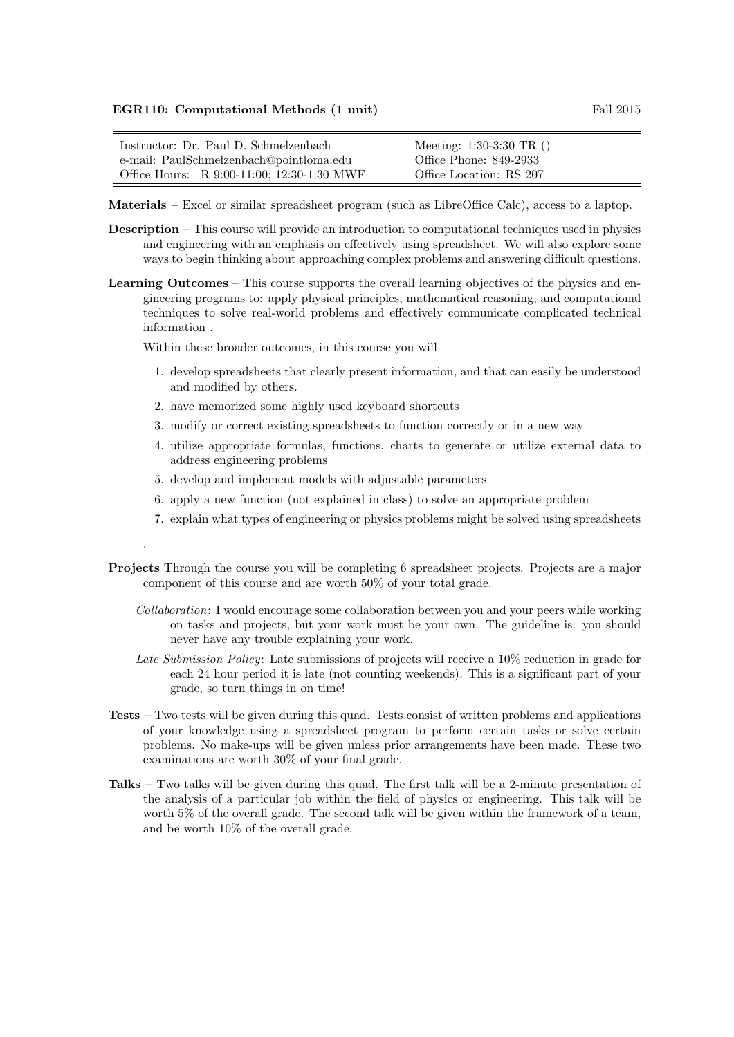## EGR110: Computational Methods (1 unit) Fall 2015

| Instructor: Dr. Paul D. Schmelzenbach      | Meeting: $1:30-3:30 \text{ TR}$ () |
|--------------------------------------------|------------------------------------|
| e-mail: PaulSchmelzenbach@pointloma.edu    | Office Phone: 849-2933             |
| Office Hours: R 9:00-11:00; 12:30-1:30 MWF | Office Location: RS 207            |

Materials – Excel or similar spreadsheet program (such as LibreOffice Calc), access to a laptop.

- Description This course will provide an introduction to computational techniques used in physics and engineering with an emphasis on effectively using spreadsheet. We will also explore some ways to begin thinking about approaching complex problems and answering difficult questions.
- Learning Outcomes This course supports the overall learning objectives of the physics and engineering programs to: apply physical principles, mathematical reasoning, and computational techniques to solve real-world problems and effectively communicate complicated technical information .

Within these broader outcomes, in this course you will

.

- 1. develop spreadsheets that clearly present information, and that can easily be understood and modified by others.
- 2. have memorized some highly used keyboard shortcuts
- 3. modify or correct existing spreadsheets to function correctly or in a new way
- 4. utilize appropriate formulas, functions, charts to generate or utilize external data to address engineering problems
- 5. develop and implement models with adjustable parameters
- 6. apply a new function (not explained in class) to solve an appropriate problem
- 7. explain what types of engineering or physics problems might be solved using spreadsheets
- Projects Through the course you will be completing 6 spreadsheet projects. Projects are a major component of this course and are worth 50% of your total grade.
	- Collaboration: I would encourage some collaboration between you and your peers while working on tasks and projects, but your work must be your own. The guideline is: you should never have any trouble explaining your work.
	- Late Submission Policy: Late submissions of projects will receive a 10% reduction in grade for each 24 hour period it is late (not counting weekends). This is a significant part of your grade, so turn things in on time!
- Tests Two tests will be given during this quad. Tests consist of written problems and applications of your knowledge using a spreadsheet program to perform certain tasks or solve certain problems. No make-ups will be given unless prior arrangements have been made. These two examinations are worth 30% of your final grade.
- Talks Two talks will be given during this quad. The first talk will be a 2-minute presentation of the analysis of a particular job within the field of physics or engineering. This talk will be worth 5% of the overall grade. The second talk will be given within the framework of a team, and be worth 10% of the overall grade.